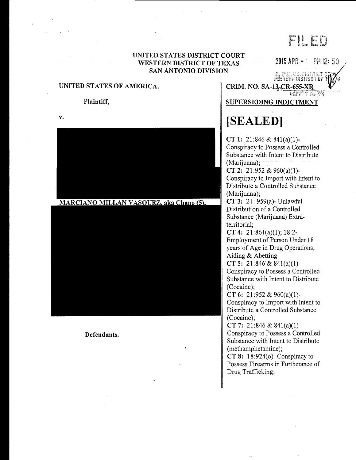# FIED

# UNITED STATES DISTRICT COURT WESTERN DISTRICT OF TEXAS 2015 APR -1 -PM 12:50 SAN ANTONIO DIVISION

#### UNITED STATES OF AMERICA,

#### Plaintiff,

v.

Line wie opgevoez<br>Symmet gistrict gi

CRIM. NO. SA-13-CR-655-XR

SUPERSEDING INDICTMENT

# [SEALEDI

CT 1: 21:846 & 841(a)(1)- Conspiracy to Possess a Controlled Substance with Intent to Distribute  $(Marijuana);$ CT 2: 21:952 & 960(a)(1)- Conspiracy to Import with Intent to Distribute a Controlled Substance (Marijuana); CT3: 21: 959(a)-Unlawful Distribution of a Controlled Substance (Marijuana) Extraterritorial; CT 4: 21:861(a)(1); 18:2- Employment of Person Under 18 years of Age in Drug Operations; Aiding & Abetting CT 5: 21:846& 841(a)(1)- Conspiracy to Possess a Controlled Substance with Intent to Distribute (Cocaine); CT 6: 21:952 & 960(a)(1)-Conspiracy to Import with Intent to Distribute a Controlled Substance (Cocaine);

CT 7: 21:846 & 841(a)(1)- Conspiracy to Possess a Controlled Substance with Intent to Distribute (methamphetamine);

CT 8: 18:924(o)- Conspiracy to Possess Firearms in Furtherance of Drug Trafficking;

# MARCIANO MILLAN VASQUEZ, aka Chano (5),

Defendants.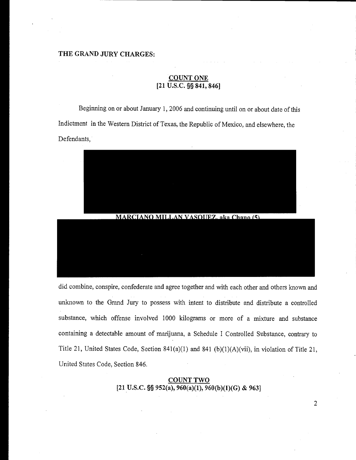# THE GRAND JURY CHARGES:

# **COUNT ONE**  $[21 \overline{U.S.C. \S \S 841, 846}]$

Beginning on or about January 1, 2006 and continuing until on or about date of this Indictment in the Western District of Texas, the Republic of Mexico, and elsewhere, the Defendants,



did combine, conspire, confederate and agree together and with each other and others known and unknown to the Grand Jury to possess with intent to distribute and distribute a controlled substance, which offense involved 1000 kilograms or more of a mixture and substance containing a detectable amount of marijuana, a Schedule I Controlled Substance, contrary to Title 21, United States Code, Section 841(a)(1) and 841 (b)(1)(A)(vii), in violation of Title 21, United States Code, Section 846.

> COUNT TWO [21 U.S.C. §§ 952(a), 960(a)(1), 960(b)(1)(G) & 963]

> > $\overline{2}$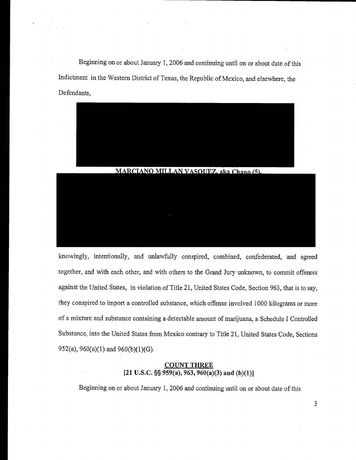Beginning on or about January 1, 2006 and continuing until on or about date of this Indictment in the Western District of Texas, the Republic of Mexico, and elsewhere, the Defendants,



knowingly, intentionally, and unlawfully conspired, combined, confederated, and agreed together, and with each other, and with others to the Grand Jury unknown, to commit offenses against the United States, in violation of Title 21, United States Code, Section 963, that is to say, they conspired to import a controlled substance, which offense involved 1000 kilograms or more of a mixture and substance containing a detectable amount of marijuana, a Schedule I Controlled Substance, into the United States from Mexico contrary to Title 21, United States Code, Sections 952(a),  $960(a)(1)$  and  $960(b)(1)(G)$ .

#### COUNT THREE [21 U.S.C.  $\S$ § 959(a), 963, 960(a)(3) and (b)(1)]

Beginning on or about January 1, 2006 and continuing until on or about date of this

 $\mathfrak{Z}$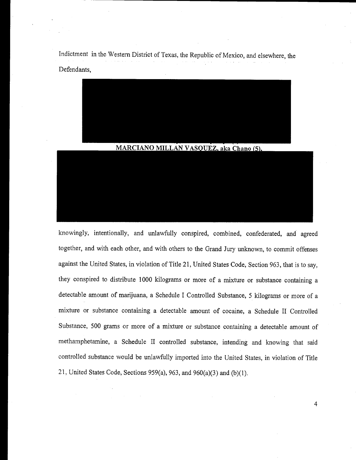Indictment in the Western District of Texas, the Republic of Mexico, and elsewhere, the Defendants,



#### MARCIANO MILLAN VASQUEZ, aka Chano (5),

knowingly, intentionally, and unlawfully conspired, combined, confederated, and agreed together, and with each other, and with others to the Grand Jury unknown, to commit offenses against the United States, in violation of Title 21, United States Code, Section 963, that is to say, they conspired to distribute 1000 kilograms or more of a mixture or substance containing a detectable amount of marijuana, a Schedule I Controlled Substance, 5 kilograms or more of a mixture or substance containing a detectable amount of cocaine, a Schedule II Controlled Substance, 500 grams or more of a mixture or substance containing a detectable amount of methamphetamine, a Schedule II controlled substance, intending and knowing that said controlled substance would be unlawfully imported into the United States, in violation of Title 21, United States Code, Sections 959(a), 963, and 960(a)(3) and (b)(l).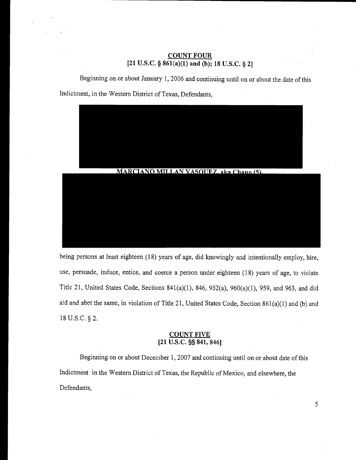## COUNT FOUR [21 U.S.C. §  $861(a)(1)$  and (b); 18 U.S.C. § 2]

Beginning on or about January 1, 2006 and continuing until on or about the date of this Indictment, in the Western District of Texas, Defendants,



being persons at least eighteen (18) years of age, did knowingly and intentionally employ, hire, use, persuade, induce, entice, and coerce a person under eighteen (18) years of age, to violate Title 21, United States Code, Sections 841(a)(1), 846, 952(a), 960(a)(1), 959, and 963, and did aid and abet the same, in violation of Title 21, United States Code, Section 861(a)(1) and (b) and 18 U.S.C. § 2.

#### COUNT FIVE  $[21 \overline{U.S.C.}$  §§  $841, 846]$

Beginning on or about December 1, 2007 and continuing until on or about date of this Indictment in the Western District of Texas, the Republic of Mexico, and elsewhere, the Defendants,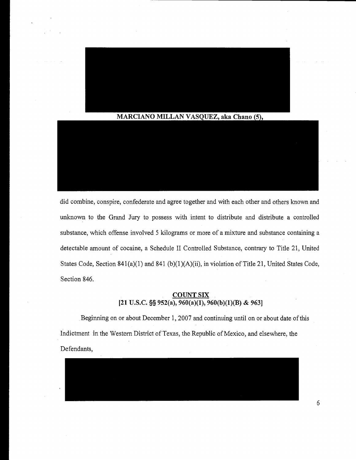

did combine, conspire, confederate and agree together and with each other and others known and unknown to the Grand Jury to possess with intent to distribute and distribute a controlled substance, which offense involved 5 kilograms or more of a mixture and substance containing a detectable amount of cocaine, a Schedule II Controlled Substance, contrary to Title 21, United States Code, Section 841(a)(1) and 841 (b)(1)(A)(ii), in violation of Title 21, United States Code, Section 846.

# COUNTSIX [21 U.S.C. §§ 952(a),  $960(a)(1)$ ,  $960(b)(1)(B)$  & 963]

Beginning on or about December 1, 2007 and continuing until on or about date of this Indictment in the Western District of Texas, the Republic of Mexico, and elsewhere, the Defendants,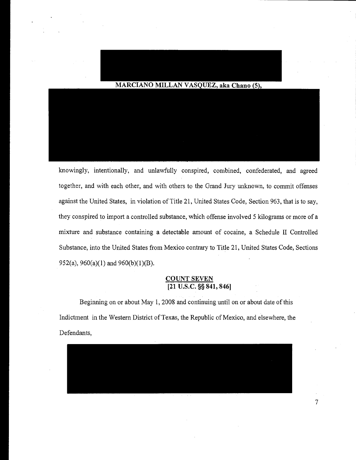# MARCIANO MILLAN VASQUEZ, aka Chano (5),

knowingly, intentionally, and unlawfully conspired, combined, confederated, and agreed together, and with each other, and with others to the Grand Jury unknown, to commit offenses against the United States, in violation of Title 21, United States Code, Section 963, that is to say, they conspired to import a controlled substance, which offense involved 5 kilograms or more of a mixture and substance containing a detectable amount of cocaine, a Schedule II Controlled Substance, into the United States from Mexico contrary to Title 21, United States Code, Sections 952(a), 960(a)(1) and 960(b)(1)(B).

# COUNT SEVEN [21 U.S.C. §§ 841, 846]

Beginning on or about May 1, 2008 and continuing until on or about date of this Indictment in the Western District of Texas, the Republic of Mexico, and elsewhere, the Defendants,

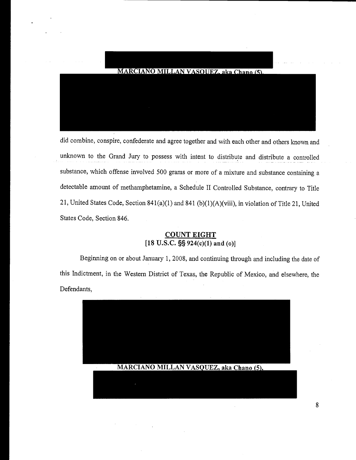

did combine, conspire, confederate and agree together and with each other and others known and unknown to the Grand Jury to possess with intent to distribute and distribute a controlled substance, which offense involved 500 grams or more of a mixture and substance containing <sup>a</sup> detectable amount of methamphetamine, a Schedule II Controlled Substance, contrary to Title 21, United States Code, Section 841(a)(1) and 841 (b)(1)(A)(viii), in violation of Title 21, United States Code, Section 846.

# COUNT EIGHT  $[18 \text{ U.S.C.}$  §§  $924(c)(1)$  and (0)]

Beginning on or about January 1, 2008, and continuing through and including the date of this Indictment, in the Western District of Texas, the Republic of Mexico, and elsewhere, the Defendants,